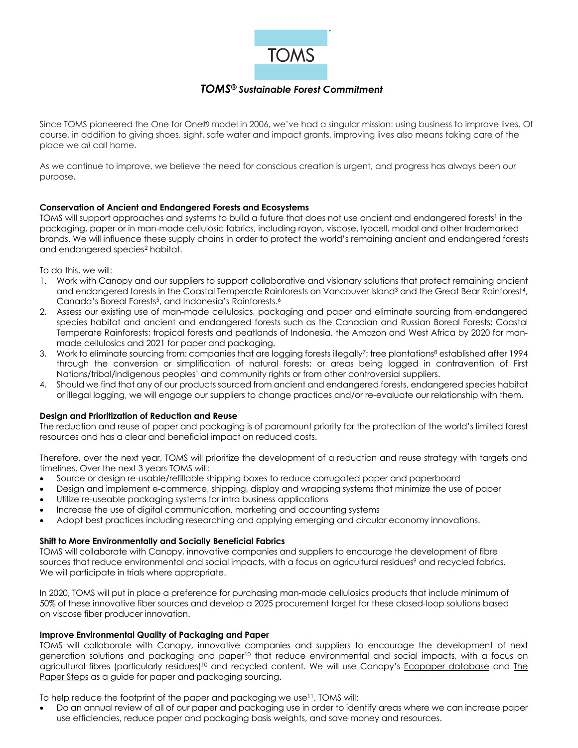

# *TOMS® Sustainable Forest Commitment*

Since TOMS pioneered the One for One® model in 2006, we've had a singular mission: using business to improve lives. Of course, in addition to giving shoes, sight, safe water and impact grants, improving lives also means taking care of the place we *all* call home.

As we continue to improve, we believe the need for conscious creation is urgent, and progress has always been our purpose.

## **Conservation of Ancient and Endangered Forests and Ecosystems**

TOMS will support approaches and systems to build a future that does not use ancient and endangered forests<sup>1</sup> in the packaging, paper or in man-made cellulosic fabrics, including rayon, viscose, lyocell, modal and other trademarked brands. We will influence these supply chains in order to protect the world's remaining ancient and endangered forests and endangered species<sup>2</sup> habitat.

To do this, we will:

- 1. Work with Canopy and our suppliers to support collaborative and visionary solutions that protect remaining ancient and endangered forests in the Coastal Temperate Rainforests on Vancouver Island<sup>3</sup> and the Great Bear Rainforest<sup>4</sup>, Canada's Boreal Forests<sup>5</sup>, and Indonesia's Rainforests.<sup>6</sup>
- 2. Assess our existing use of man-made cellulosics, packaging and paper and eliminate sourcing from endangered species habitat and ancient and endangered forests such as the Canadian and Russian Boreal Forests; Coastal Temperate Rainforests; tropical forests and peatlands of Indonesia, the Amazon and West Africa by 2020 for manmade cellulosics and 2021 for paper and packaging.
- 3. Work to eliminate sourcing from: companies that are logging forests illegally<sup>7</sup>; tree plantations<sup>8</sup> established after 1994 through the conversion or simplification of natural forests; or areas being logged in contravention of First Nations/tribal/indigenous peoples' and community rights or from other controversial suppliers.
- 4. Should we find that any of our products sourced from ancient and endangered forests, endangered species habitat or illegal logging, we will engage our suppliers to change practices and/or re-evaluate our relationship with them.

## **Design and Prioritization of Reduction and Reuse**

The reduction and reuse of paper and packaging is of paramount priority for the protection of the world's limited forest resources and has a clear and beneficial impact on reduced costs.

Therefore, over the next year, TOMS will prioritize the development of a reduction and reuse strategy with targets and timelines. Over the next 3 years TOMS will:

- Source or design re-usable/refillable shipping boxes to reduce corrugated paper and paperboard
- Design and implement e-commerce, shipping, display and wrapping systems that minimize the use of paper
- Utilize re-useable packaging systems for intra business applications
- Increase the use of digital communication, marketing and accounting systems
- Adopt best practices including researching and applying emerging and circular economy innovations.

## **Shift to More Environmentally and Socially Beneficial Fabrics**

TOMS will collaborate with Canopy, innovative companies and suppliers to encourage the development of fibre sources that reduce environmental and social impacts, with a focus on agricultural residues<sup>9</sup> and recycled fabrics. We will participate in trials where appropriate.

In 2020, TOMS will put in place a preference for purchasing man-made cellulosics products that include minimum of 50% of these innovative fiber sources and develop a 2025 procurement target for these closed-loop solutions based on viscose fiber producer innovation.

## **Improve Environmental Quality of Packaging and Paper**

TOMS will collaborate with Canopy, innovative companies and suppliers to encourage the development of next generation solutions and packaging and paper<sup>10</sup> that reduce environmental and social impacts, with a focus on agricultural fibres (particularly residues)<sup>10</sup> and recycled content. We will use Canopy's Ecopaper database and The Paper Steps as a guide for paper and packaging sourcing.

To help reduce the footprint of the paper and packaging we use<sup>11</sup>, TOMS will:

• Do an annual review of all of our paper and packaging use in order to identify areas where we can increase paper use efficiencies, reduce paper and packaging basis weights, and save money and resources.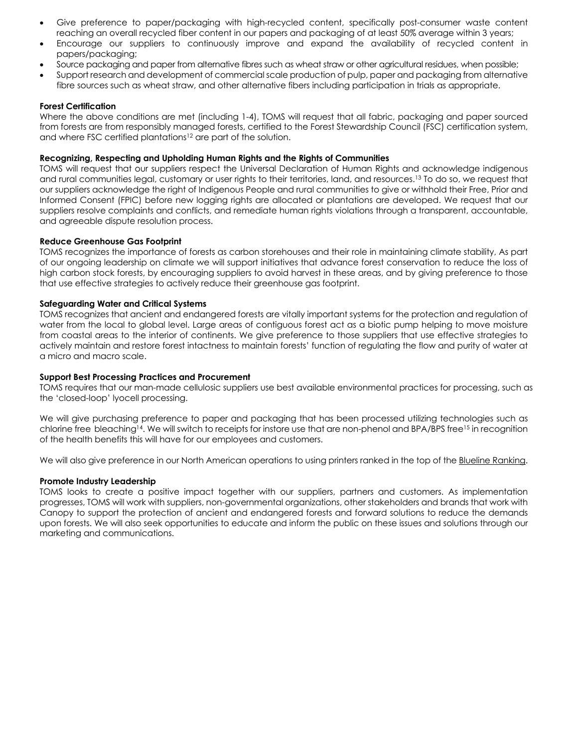- Give preference to paper/packaging with high-recycled content, specifically post-consumer waste content reaching an overall recycled fiber content in our papers and packaging of at least 50% average within 3 years;
- Encourage our suppliers to continuously improve and expand the availability of recycled content in papers/packaging;
- Source packaging and paper from alternative fibres such as wheat straw or other agricultural residues, when possible;
- Support research and development of commercial scale production of pulp, paper and packaging from alternative fibre sources such as wheat straw, and other alternative fibers including participation in trials as appropriate.

#### **Forest Certification**

Where the above conditions are met (including 1-4), TOMS will request that all fabric, packaging and paper sourced from forests are from responsibly managed forests, certified to the Forest Stewardship Council (FSC) certification system, and where FSC certified plantations<sup>12</sup> are part of the solution.

#### **Recognizing, Respecting and Upholding Human Rights and the Rights of Communities**

TOMS will request that our suppliers respect the Universal Declaration of Human Rights and acknowledge indigenous and rural communities legal, customary or user rights to their territories, land, and resources.13 To do so, we request that our suppliers acknowledge the right of Indigenous People and rural communities to give or withhold their Free, Prior and Informed Consent (FPIC) before new logging rights are allocated or plantations are developed. We request that our suppliers resolve complaints and conflicts, and remediate human rights violations through a transparent, accountable, and agreeable dispute resolution process.

#### **Reduce Greenhouse Gas Footprint**

TOMS recognizes the importance of forests as carbon storehouses and their role in maintaining climate stability, As part of our ongoing leadership on climate we will support initiatives that advance forest conservation to reduce the loss of high carbon stock forests, by encouraging suppliers to avoid harvest in these areas, and by giving preference to those that use effective strategies to actively reduce their greenhouse gas footprint.

### **Safeguarding Water and Critical Systems**

TOMS recognizes that ancient and endangered forests are vitally important systems for the protection and regulation of water from the local to global level. Large areas of contiguous forest act as a biotic pump helping to move moisture from coastal areas to the interior of continents. We give preference to those suppliers that use effective strategies to actively maintain and restore forest intactness to maintain forests' function of regulating the flow and purity of water at a micro and macro scale.

#### **Support Best Processing Practices and Procurement**

TOMS requires that our man-made cellulosic suppliers use best available environmental practices for processing, such as the 'closed-loop' lyocell processing.

We will give purchasing preference to paper and packaging that has been processed utilizing technologies such as chlorine free bleaching<sup>14</sup>. We will switch to receipts for instore use that are non-phenol and BPA/BPS free<sup>15</sup> in recognition of the health benefits this will have for our employees and customers.

We will also give preference in our North American operations to using printers ranked in the top of the Blueline Ranking.

#### **Promote Industry Leadership**

TOMS looks to create a positive impact together with our suppliers, partners and customers. As implementation progresses, TOMS will work with suppliers, non-governmental organizations, other stakeholders and brands that work with Canopy to support the protection of ancient and endangered forests and forward solutions to reduce the demands upon forests. We will also seek opportunities to educate and inform the public on these issues and solutions through our marketing and communications.